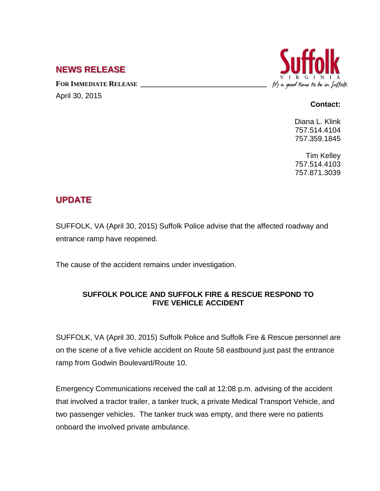## **NEWS RELEASE**

FOR **IMMEDIATE RELEASE** April 30, 2015



## **Contact:**

Diana L. Klink 757.514.4104 757.359.1845

Tim Kelley 757.514.4103 757.871.3039

## **UPDATE**

SUFFOLK, VA (April 30, 2015) Suffolk Police advise that the affected roadway and entrance ramp have reopened.

The cause of the accident remains under investigation.

## **SUFFOLK POLICE AND SUFFOLK FIRE & RESCUE RESPOND TO FIVE VEHICLE ACCIDENT**

SUFFOLK, VA (April 30, 2015) Suffolk Police and Suffolk Fire & Rescue personnel are on the scene of a five vehicle accident on Route 58 eastbound just past the entrance ramp from Godwin Boulevard/Route 10.

Emergency Communications received the call at 12:08 p.m. advising of the accident that involved a tractor trailer, a tanker truck, a private Medical Transport Vehicle, and two passenger vehicles. The tanker truck was empty, and there were no patients onboard the involved private ambulance.